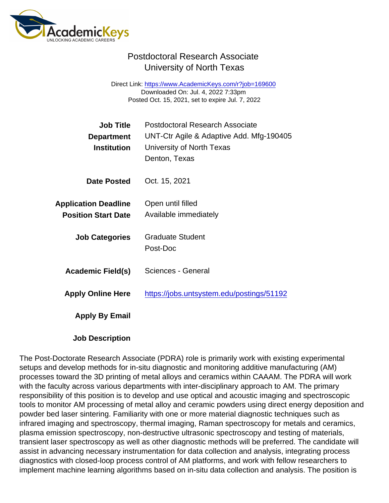## Postdoctoral Research Associate University of North Texas

Direct Link: <https://www.AcademicKeys.com/r?job=169600> Downloaded On: Jul. 4, 2022 7:33pm Posted Oct. 15, 2021, set to expire Jul. 7, 2022

| Job Title<br>Department<br>Institution                    | <b>Postdoctoral Research Associate</b><br>UNT-Ctr Agile & Adaptive Add. Mfg-190405<br>University of North Texas<br>Denton, Texas |
|-----------------------------------------------------------|----------------------------------------------------------------------------------------------------------------------------------|
| Date Posted                                               | Oct. 15, 2021                                                                                                                    |
| <b>Application Deadline</b><br><b>Position Start Date</b> | Open until filled<br>Available immediately                                                                                       |
| <b>Job Categories</b>                                     | <b>Graduate Student</b><br>Post-Doc                                                                                              |
| Academic Field(s)                                         | <b>Sciences - General</b>                                                                                                        |
| <b>Apply Online Here</b>                                  | https://jobs.untsystem.edu/postings/51192                                                                                        |
| Apply By Email                                            |                                                                                                                                  |
|                                                           |                                                                                                                                  |

Job Description

The Post-Doctorate Research Associate (PDRA) role is primarily work with existing experimental setups and develop methods for in-situ diagnostic and monitoring additive manufacturing (AM) processes toward the 3D printing of metal alloys and ceramics within CAAAM. The PDRA will work with the faculty across various departments with inter-disciplinary approach to AM. The primary responsibility of this position is to develop and use optical and acoustic imaging and spectroscopic tools to monitor AM processing of metal alloy and ceramic powders using direct energy deposition and powder bed laser sintering. Familiarity with one or more material diagnostic techniques such as infrared imaging and spectroscopy, thermal imaging, Raman spectroscopy for metals and ceramics, plasma emission spectroscopy, non-destructive ultrasonic spectroscopy and testing of materials, transient laser spectroscopy as well as other diagnostic methods will be preferred. The candidate will assist in advancing necessary instrumentation for data collection and analysis, integrating process diagnostics with closed-loop process control of AM platforms, and work with fellow researchers to implement machine learning algorithms based on in-situ data collection and analysis. The position is